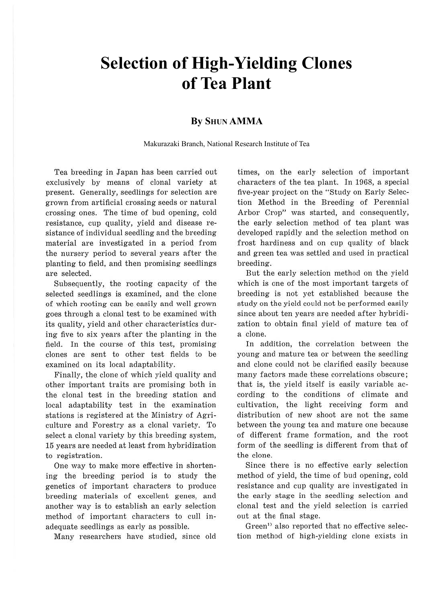# **Selection of High-Yielding Clones of Tea Plant**

#### **By SHUN AMMA**

Makurazaki Branch, National Research Institute of Tea

Tea breeding in Japan has been carried out exclusively by means of clonal variety at present. Generally, seedlings for selection are grown from artificial crossing seeds or natural crossing ones. The time of bud opening, cold resistance, cup quality, yield and disease resistance of individual seedling and the breeding material are investigated in a period from the nursery period to several years after the planting to field, and then promising seedlings are selected.

Subsequently, the rooting capacity of the selected seedlings is examined, and the clone of which rooting can be easily and well grown goes through a clonal test to be examined with its quality, yield and other characteristics during five to six years after the planting in the field. In the course of this test, promising clones are sent to other test fields to be examined on its local adaptability.

Finally, the clone of which yield quality and other important traits are promising both in the clonal test in the breeding station and local adaptability test in the examination stations is registered at the Ministry of Agriculture and Forestry as a clonal variety. To select a clonal variety by this breeding system, 15 years are needed at least from hybridization to registration.

One way to make more effective in shortening the breeding period is to study the genetics of important characters to produce breeding materials of excellent genes, and another way is to establish an early selection method of important characters to cull inadequate seedlings as early as possible.

Many researchers have studied, since old

times, on the early selection of important characters of the tea plant. In 1968, a special five-year project on the "Study on Early Selection Method in the Breeding of Perennial Arbor Crop" was started, and consequently, the early selection method of tea plant was developed rapidly and the selection method on frost hardiness and on cup quality of black and green tea was settled and used in practical breeding.

But the early selection method on the yield which is one of the most important targets of breeding is not yet established because the study on the yield could not be performed easily since about ten years are needed after hybridization to obtain final yield of mature tea of a clone.

In addition, the correlation between the young and mature tea or between the seedling and clone could not be clarified easily because many factors made these correlations obscure; that is, the yield itself is easily variable according to the conditions of climate and cultivation, the light receiving form and distribution of new shoot are not the same between the young tea and mature one because of different frame formation, and the root form of the seedling is different from that of the clone.

Since there is no effective early selection method of yield, the time of bud opening, cold resistance and cup quality are investigated in the early stage in the seedling selection and clonal test and the yield selection is carried out at the final stage.

Green<sup>1</sup> also reported that no effective selection method of high-yielding clone exists in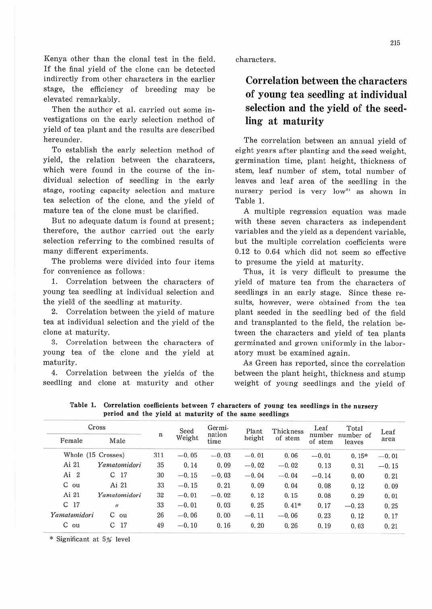Kenya other than the clonal test in the field. If the final yield of the clone can be detected indirectly from other characters in the earlier stage, the efficiency of breeding may be elevated remarkably.

Then the author et al. carried out some investigations on the early selection method of yield of tea plant and the results are described hereunder.

To establish the early selection method of yield, the relation between the charatcers, which were found in the course of the individual selection of seedling in the early stage, rooting capacity selection and mature tea selection of the clone, and the yield of mature tea of the clone must be clarified.

But no adequate datum is found at present; therefore, the author carried out the early selection referring to the combined results of many different experiments.

The problems were divided into four items for convenience as follows:

1. Correlation between the characters of young tea seedling at individual selection and the yield of the seedling at maturity.

2. Correlation between the yield of mature tea at individual selection and the yield of the clone at maturity.

3. Correlation between the characters of young tea of the clone and the yield at maturity.

4. Correlation between the yields of the seedling and clone at maturity and other

characters.

## **Correlation between the characters of young tea seedling at individual selection and the yield of the seedling at maturity**

The correlation between an annual yield of eight years after planting and the seed weight, germination time, plant height, thickness of stem, leaf number of stem, total number of leaves and leaf area of the seedling in the nursery period is very low<sup>2)</sup> as shown in Table 1.

A multiple regression equation was made with these seven characters as independent variables and the yield as a dependent variable, but the multiple correlation coefficients were 0.12 to 0.64 which did not seem so effective to presume the yield at maturity.

Thus, it is very difficult to presume the yield of mature tea from the characters of seedlings in an early stage. Since these results, however, were obtained from the tea plant seeded in the seedling bed of the field and transplanted to the field, the relation between the characters and yield of tea plants germinated and grown uniformly in the laboratory must be examined again.

As Green has reported, since the correlation between the plant height, thickness and stump weight of young seedlings and the yield of

**Table 1. Correlation coefficients between** 7 **characters of young tea seedlings** in **the nursery period and the yield at maturity of the same seedlings** 

| Cross                |                     |                         | Seed    | Germi-         | Plant   | Thickness | Leaf              | Total               | Leaf    |
|----------------------|---------------------|-------------------------|---------|----------------|---------|-----------|-------------------|---------------------|---------|
| Female               | Male                | $\overline{\mathbf{n}}$ | Weight  | nation<br>time | height  | of stem   | number<br>of stem | number of<br>leaves | area    |
|                      | Whole (15 Crosses)  | 311                     | $-0.05$ | $-0.03$        | $-0.01$ | 0.06      | $-0.01$           | $0.15*$             | $-0.01$ |
| Ai 21                | Yamatomidori        | 35                      | 0.14    | 0.09           | $-0.02$ | $-0.02$   | 0.13              | 0.31                | $-0.15$ |
| Ai<br>$\overline{2}$ | C<br>17             | 30                      | $-0.15$ | $-0.03$        | $-0.04$ | $-0.04$   | $-0.14$           | 0.00                | 0.21    |
| $C$ ou               | Ai 21               | 33                      | $-0.15$ | 0.21           | 0.09    | 0.04      | 0.08              | 0.12                | 0.09    |
| Ai 21                | Yamatomidori        | 32                      | $-0.01$ | $-0.02$        | 0.12    | 0.15      | 0.08              | 0.29                | 0.01    |
| 17<br>C              | $\mathbf{u}$        | 33                      | $-0.01$ | 0.03           | 0.25    | $0.41*$   | 0.17              | $-0.23$             | 0.25    |
| Yamatomidori         | C<br>ou             | 26                      | $-0.06$ | 0.00           | $-0.11$ | $-0.06$   | 0.23              | 0.12                | 0.17    |
| C<br>ou              | $\mathcal{C}$<br>17 | 49                      | $-0.10$ | 0.16           | 0.20    | 0.26      | 0.19              | 0.03                | 0.21    |

\* Significant at 5% level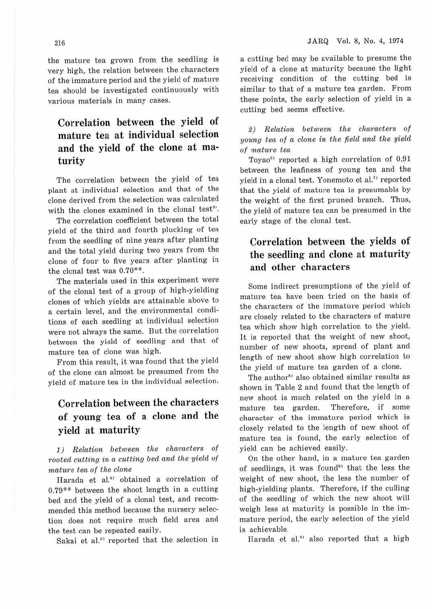the mature tea grown from the seedling is very high, the relation between the characters of the immature period and the yield of mature tea should be investigated continuously with various materials in many cases.

## **Correlation between the yield of mature tea at individual selection and the yield of the clone at maturity**

The correlation between the yield of tea plant at individual selection and that of the clone derived from the selection was calculated with the clones examined in the clonal test<sup>3</sup>.

The correlation coefficient between the total yield of the third and fourth plucking of tea from the seedling of nine years after planting and the total yield during two years from the clone of four to five years after planting in the clonal test was  $0.70**$ .

The materials used in this experiment were of the clonal test of a group of high-yielding clones of which yields are attainable above to a certain level, and the environmental conditions of each seedling at individual selection were not always the same. But the correlation between the yield of seedling and that of mature tea of clone was high.

From this result, it was found that the yield of the clone can almost be presumed from the yield of mature tea in the individual selection.

# **Correlation between the characters of young tea of a clone and the yield at maturity**

1) Relation between the characters of rooted cutting in a cutting bed and the yield of mature tea of the clone

Harada et al.<sup>4)</sup> obtained a correlation of  $0.79***$  between the shoot length in a cutting bed and the yield of a clonal test, and recommended this method because the nursery selection does not require much field area and the test can be repeated easily.

Sakai et al.<sup>53</sup> reported that the selection in

a cutting bed may be available to presume the yield of a clone at maturity because the light receiving condition of the cutting bed is similar to that of a mature tea garden. From these points, the early selection of yield in a cutting bed seems effective.

2) Relation between the characters of young tea of a clone in the field and the wield of mature tea

Toyao<sup>6)</sup> reported a high correlation of 0.91 between the leafiness of young tea and the yield in a clonal test. Yonemoto et al." reported that the yield of mature tea is presumable by the weight of the first pruned branch. Thus, the yield of mature tea can be presumed in the early stage of the clonal test.

### **Correlation between the yields of the seedling- and clone at maturity and other characters**

Some indirect presumptions of the yield of mature tea have been tried on the basis of the characters of the immature period which are closely related to the characters of mature tea which show high correlation to the yield. It is reported that the weight of new shoot, number of new shoots, spread of plant and length of new shoot show high correlation to the yield of mature tea garden of a clone.

The author<sup>8)</sup> also obtained similar results as shown in Table 2 and found that the length of new shoot is much related on the yield in a mature tea garden. Therefore, if some character of the immature period which is closely related to the length of new shoot of mature tea is found, the early selection of yield can be achieved easily.

On the other hand, in a mature tea garden of seedlings, it was found<sup>91</sup> that the less the weight of new shoot, the less the number of high-yielding plants. Therefore, if the culling of the seedling of which the new shoot will weigh less at maturity is possible in the immature period, the early selection of the yield is achievable.

Harada et al.<sup>4)</sup> also reported that a high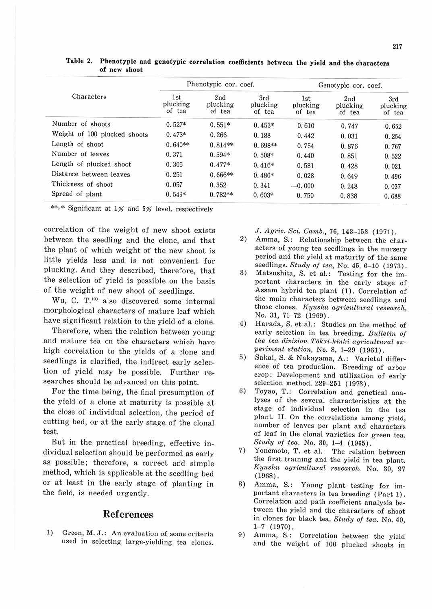|                              |                           | Phenotypic cor. coef.     |                           | Genotypic cor. coef.      |                           |                           |  |
|------------------------------|---------------------------|---------------------------|---------------------------|---------------------------|---------------------------|---------------------------|--|
| Characters                   | 1st<br>plucking<br>of tea | 2nd<br>plucking<br>of tea | 3rd<br>plucking<br>of tea | 1st<br>plucking<br>of tea | 2nd<br>plucking<br>of tea | 3rd<br>plucking<br>of tea |  |
| Number of shoots             | $0.527*$                  | $0.551*$                  | $0.453*$                  | 0.610                     | 0.747                     | 0.652                     |  |
| Weight of 100 plucked shoots | $0.473*$                  | 0.266                     | 0.188                     | 0.442                     | 0.031                     | 0.254                     |  |
| Length of shoot              | $0.640**$                 | $0.814**$                 | $0.698**$                 | 0.754                     | 0.876                     | 0.767                     |  |
| Number of leaves             | 0.371                     | $0.594*$                  | $0.508*$                  | 0.440                     | 0.851                     | 0.522                     |  |
| Length of plucked shoot      | 0.306                     | $0.477*$                  | $0.416*$                  | 0.581                     | 0.428                     | 0.021                     |  |
| Distance between leaves      | 0.251                     | $0.666**$                 | $0.486*$                  | 0.028                     | 0.649                     | 0.496                     |  |
| Thickness of shoot           | 0.057                     | 0.352                     | 0.341                     | $-0.000$                  | 0.248                     | 0.037                     |  |
| Spread of plant              | $0.549*$                  | $0.782**$                 | $0.603*$                  | 0.750                     | 0.838                     | 0.688                     |  |

**Table 2. Phenotypic and genotypic correlation coefficients between the yield and the characters of new shoot** 

\*\*,\* Significant at 1% and 5% level, respectively

correlation of the weight of new shoot exists between the seedling and the clone, and that the plant of which weight of the new shoot is little yields less and is not convenient for plucking. And they described, therefore, that the selection of yield is possible on the basis of the weight of new shoot of seedlings.

Wu, C. T.<sup>10</sup> also discovered some internal morphological characters of mature leaf which have significant relation to the yield of a clone.

Therefore, when the relation between young and mature tea on the characters which have high correlation to the yields of a clone and seedlings is clarified, the indirect early selection of yield may be possible. Further researches should be advanced on this point.

For the time being, the final presumption of the yield of a clone at maturity is possible at the close of individual selection, the period of cutting bed, or at the early stage of the clonal test.

But in the practical breeding, effective individual selection should be performed as early as possible; therefore, a correct and simple method, which is applicable at the seedling bed or at least in the early stage of planting in the field, is needed urgently.

#### References

1) Green, M. J.: An evaluation of some criteria used in selecting large-yielding tea clones. J. Agric. Sci. Camb., 76, 143-153 (1971).

- 2) Amma, S.: Relationship between the characters of young tea seedlings in the nursery period and the yield at maturity of the same seedlings. *Stucly of tea,* No. 45, 6-10 (1973).
- 3) Matsushita, S. et al.: Testing for the important characters in the early stage of Assam hybrid tea plant (1). Correlation of the main characters between seedlings and those clones. Kyushu agricultural research, No. 31, 71-72 (1969).
- 4) Harada, S. et al.: Studies on the method of early selection in tea breeding. *Bulletin of*  the tea division Tōkai-kinki agricultural ex*periment station, No. 8, 1-29 (1961).*
- 5) Sakai, S. & Nakayama, A.: Varietal difference of tea production. Breeding of arbor crop : Development and utilization of early selection method. 229-251 (1973).
- 6) Toyao, T.: Correlation and genetical analyses of the several characteristics at the stage of individual selection in the tea plant. II. On the correlations among yield, number of leaves per plant and characters of leaf in the clonal varieties for green tea. Study of tea. No. 30, 1-4 (1965).
- 7) Yonemoto, T. et al.: The relation between the first training and the yield in tea plant. *Kyushu agricultural research.* No. 30, 97 (1968).
- 8) Amma, S.: Young plant testing for important characters in tea breeding (Part 1). Correlation and path coefficient analysis between the yield and the characters of shoot in clones for black tea. *Study of tea*. No. 40, 1-7 (1970).
- 9) Amma, S.: Correlation between the yield and the weight of 100 plucked shoots in